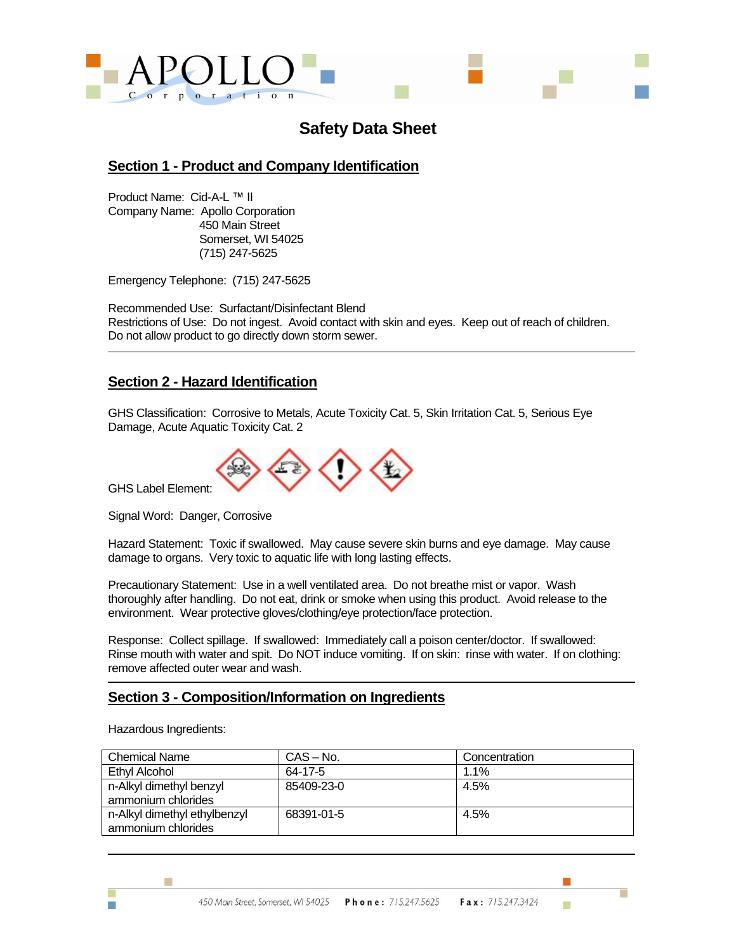

# **Safety Data Sheet**

### **Section 1 - Product and Company Identification**

Product Name: Cid-A-L ™ II Company Name: Apollo Corporation 450 Main Street Somerset, WI 54025 (715) 247-5625

Emergency Telephone: (715) 247-5625

Recommended Use: Surfactant/Disinfectant Blend Restrictions of Use: Do not ingest. Avoid contact with skin and eyes. Keep out of reach of children. Do not allow product to go directly down storm sewer.

### **Section 2 - Hazard Identification**

GHS Classification: Corrosive to Metals, Acute Toxicity Cat. 5, Skin Irritation Cat. 5, Serious Eye Damage, Acute Aquatic Toxicity Cat. 2



GHS Label Element:

Signal Word: Danger, Corrosive

Hazard Statement: Toxic if swallowed. May cause severe skin burns and eye damage. May cause damage to organs. Very toxic to aquatic life with long lasting effects.

Precautionary Statement: Use in a well ventilated area. Do not breathe mist or vapor. Wash thoroughly after handling. Do not eat, drink or smoke when using this product. Avoid release to the environment. Wear protective gloves/clothing/eye protection/face protection.

Response: Collect spillage. If swallowed: Immediately call a poison center/doctor. If swallowed: Rinse mouth with water and spit. Do NOT induce vomiting. If on skin: rinse with water. If on clothing: remove affected outer wear and wash.

### **Section 3 - Composition/Information on Ingredients**

Hazardous Ingredients:

Ħ

m.

| <b>Chemical Name</b>                               | CAS – No.  | Concentration |
|----------------------------------------------------|------------|---------------|
| Ethyl Alcohol                                      | 64-17-5    | 1.1%          |
| n-Alkyl dimethyl benzyl<br>ammonium chlorides      | 85409-23-0 | 4.5%          |
| n-Alkyl dimethyl ethylbenzyl<br>ammonium chlorides | 68391-01-5 | 4.5%          |

m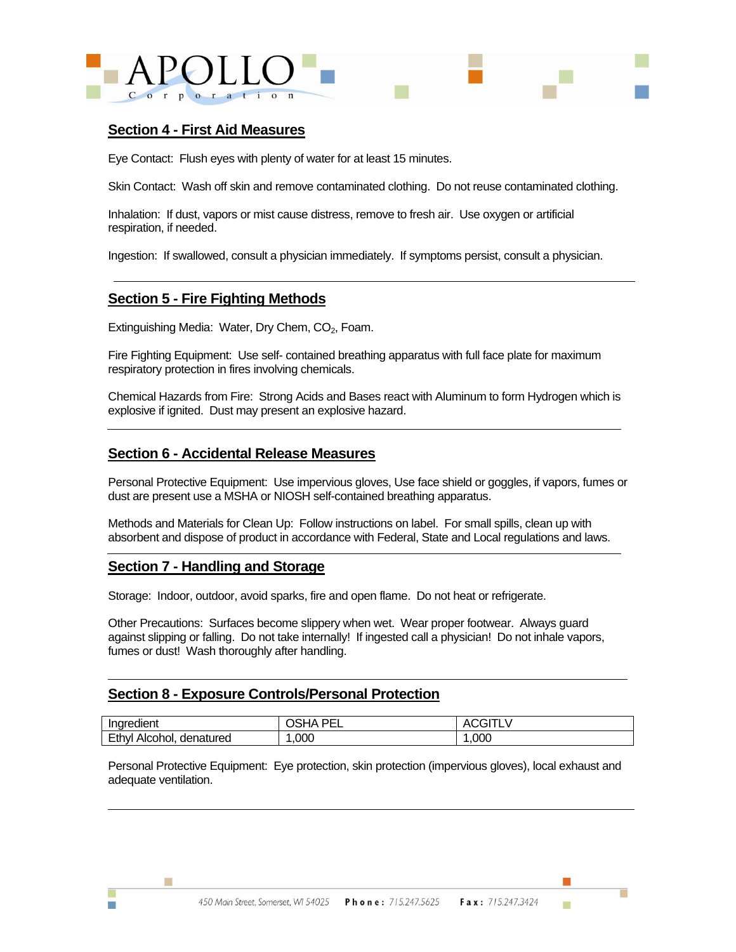

#### **Section 4 - First Aid Measures**

Eye Contact: Flush eyes with plenty of water for at least 15 minutes.

Skin Contact: Wash off skin and remove contaminated clothing. Do not reuse contaminated clothing.

Inhalation: If dust, vapors or mist cause distress, remove to fresh air. Use oxygen or artificial respiration, if needed.

Ingestion: If swallowed, consult a physician immediately. If symptoms persist, consult a physician.

#### **Section 5 - Fire Fighting Methods**

Extinguishing Media: Water, Dry Chem, CO<sub>2</sub>, Foam.

Fire Fighting Equipment: Use self- contained breathing apparatus with full face plate for maximum respiratory protection in fires involving chemicals.

Chemical Hazards from Fire: Strong Acids and Bases react with Aluminum to form Hydrogen which is explosive if ignited. Dust may present an explosive hazard.

#### **Section 6 - Accidental Release Measures**

Personal Protective Equipment: Use impervious gloves, Use face shield or goggles, if vapors, fumes or dust are present use a MSHA or NIOSH self-contained breathing apparatus.

Methods and Materials for Clean Up: Follow instructions on label. For small spills, clean up with absorbent and dispose of product in accordance with Federal, State and Local regulations and laws.

#### **Section 7 - Handling and Storage**

m.

Storage: Indoor, outdoor, avoid sparks, fire and open flame. Do not heat or refrigerate.

Other Precautions: Surfaces become slippery when wet. Wear proper footwear. Always guard against slipping or falling. Do not take internally! If ingested call a physician! Do not inhale vapors, fumes or dust! Wash thoroughly after handling.

#### **Section 8 - Exposure Controls/Personal Protection**

| Indredient                     | יחה<br>--<br>ıΡ<br>ໍ່ ໄພ.<br>-- | $\mathbf{v}$ |
|--------------------------------|---------------------------------|--------------|
| Ethyl<br>denatured<br>Alcohol. | ,000                            | .000<br>-    |

Personal Protective Equipment: Eye protection, skin protection (impervious gloves), local exhaust and adequate ventilation.

m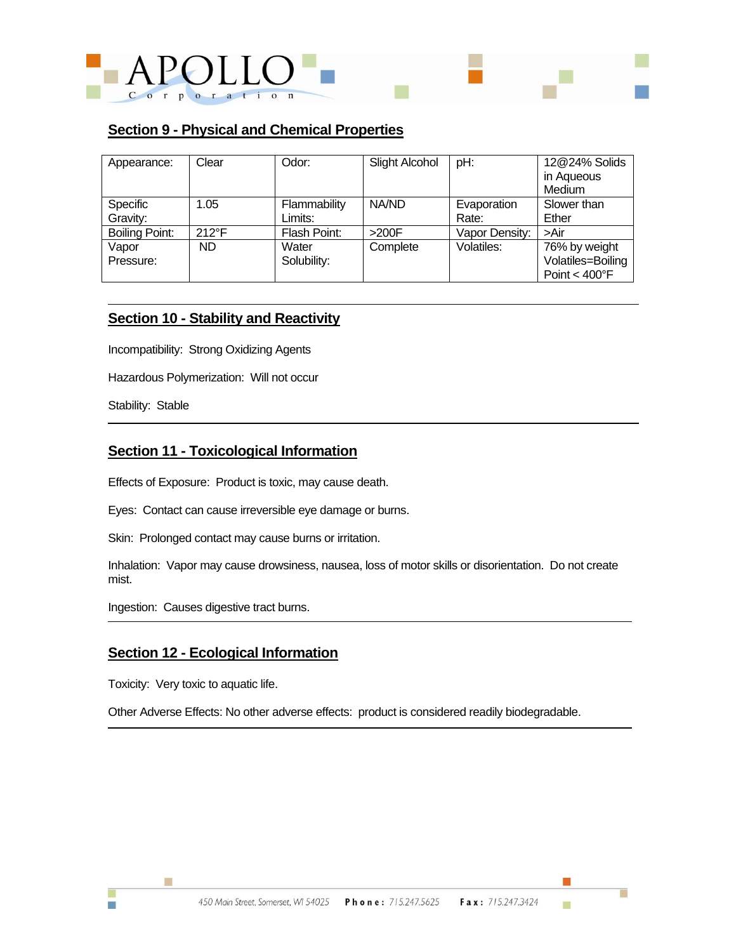

### **Section 9 - Physical and Chemical Properties**

| Appearance:           | Clear          | Odor:        | <b>Slight Alcohol</b> | pH:            | 12@24% Solids             |
|-----------------------|----------------|--------------|-----------------------|----------------|---------------------------|
|                       |                |              |                       |                | in Aqueous                |
|                       |                |              |                       |                | Medium                    |
| Specific              | 1.05           | Flammability | NA/ND                 | Evaporation    | Slower than               |
| Gravity:              |                | Limits:      |                       | Rate:          | Ether                     |
| <b>Boiling Point:</b> | $212^{\circ}F$ | Flash Point: | >200F                 | Vapor Density: | >Air                      |
| Vapor                 | <b>ND</b>      | Water        | Complete              | Volatiles:     | 76% by weight             |
| Pressure:             |                | Solubility:  |                       |                | Volatiles=Boiling         |
|                       |                |              |                       |                | Point $<$ 400 $\degree$ F |

#### **Section 10 - Stability and Reactivity**

Incompatibility: Strong Oxidizing Agents

Hazardous Polymerization: Will not occur

Stability: Stable

### **Section 11 - Toxicological Information**

Effects of Exposure: Product is toxic, may cause death.

Eyes: Contact can cause irreversible eye damage or burns.

Skin: Prolonged contact may cause burns or irritation.

Inhalation: Vapor may cause drowsiness, nausea, loss of motor skills or disorientation. Do not create mist.

Ingestion: Causes digestive tract burns.

### **Section 12 - Ecological Information**

Toxicity: Very toxic to aquatic life.

Ħ

n

Other Adverse Effects: No other adverse effects: product is considered readily biodegradable.

Г

ш